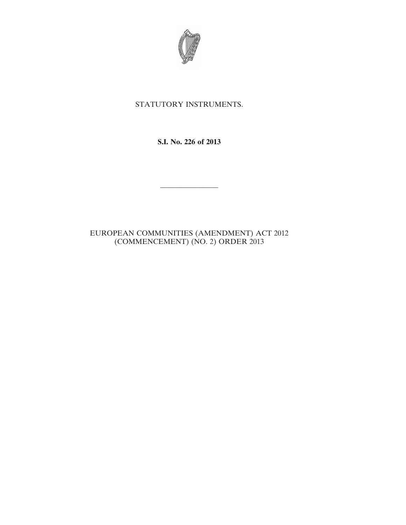

## STATUTORY INSTRUMENTS.

**S.I. No. 226 of 2013**

————————

## EUROPEAN COMMUNITIES (AMENDMENT) ACT 2012 (COMMENCEMENT) (NO. 2) ORDER 2013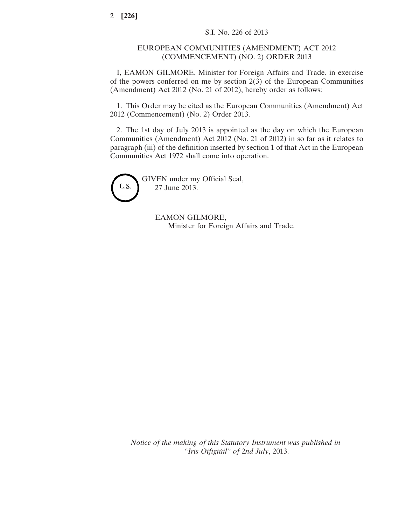## EUROPEAN COMMUNITIES (AMENDMENT) ACT 2012 (COMMENCEMENT) (NO. 2) ORDER 2013

I, EAMON GILMORE, Minister for Foreign Affairs and Trade, in exercise of the powers conferred on me by section 2(3) of the European Communities (Amendment) Act 2012 (No. 21 of 2012), hereby order as follows:

1. This Order may be cited as the European Communities (Amendment) Act 2012 (Commencement) (No. 2) Order 2013.

2. The 1st day of July 2013 is appointed as the day on which the European Communities (Amendment) Act 2012 (No. 21 of 2012) in so far as it relates to paragraph (iii) of the definition inserted by section 1 of that Act in the European Communities Act 1972 shall come into operation.



GIVEN under my Official Seal, 27 June 2013.

> EAMON GILMORE, Minister for Foreign Affairs and Trade.

*Notice of the making of this Statutory Instrument was published in "Iris Oifigiúil" of* 2*nd July*, 2013.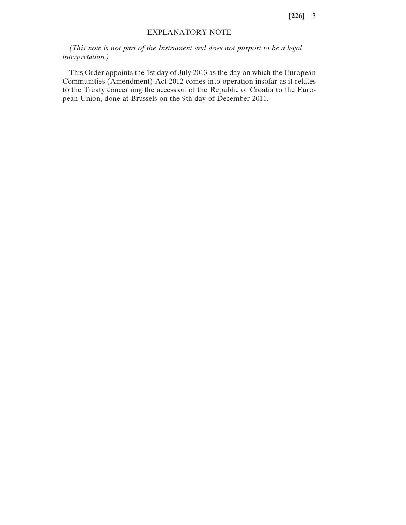**[226]** 3

## EXPLANATORY NOTE

*(This note is not part of the Instrument and does not purport to be a legal interpretation.)*

This Order appoints the 1st day of July 2013 as the day on which the European Communities (Amendment) Act 2012 comes into operation insofar as it relates to the Treaty concerning the accession of the Republic of Croatia to the European Union, done at Brussels on the 9th day of December 2011.